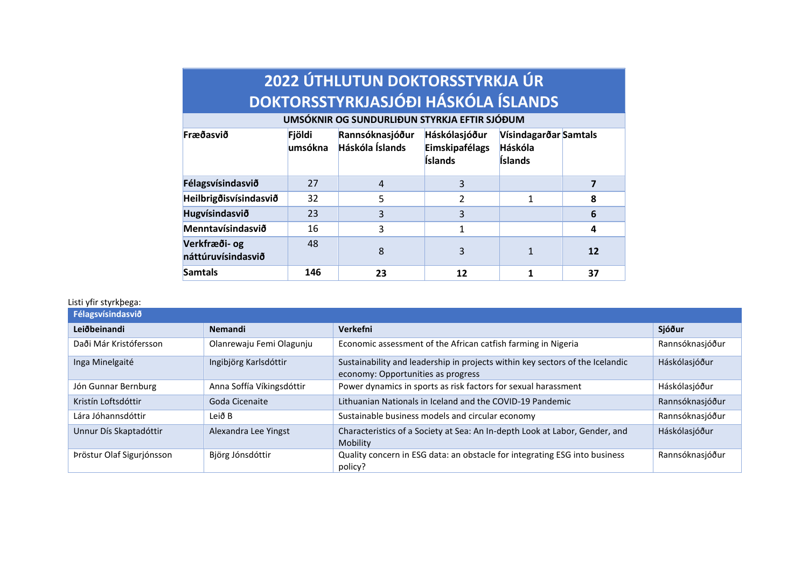| 2022 ÚTHLUTUN DOKTORSSTYRKJA ÚR<br>DOKTORSSTYRKJASJÓÐI HÁSKÓLA ÍSLANDS                                                                              |         |                |                           |                    |    |
|-----------------------------------------------------------------------------------------------------------------------------------------------------|---------|----------------|---------------------------|--------------------|----|
| UMSÓKNIR OG SUNDURLIÐUN STYRKJA EFTIR SJÓÐUM<br>Fræðasvið<br>Fjöldi<br>Rannsóknasjóður<br>Háskólasjóður<br>Vísindagarðar Samtals<br>Háskóla Íslands |         |                |                           |                    |    |
|                                                                                                                                                     | umsókna |                | Eimskipafélags<br>Íslands | Háskóla<br>Íslands |    |
| Félagsvísindasvið                                                                                                                                   | 27      | $\overline{4}$ | 3                         |                    | 7  |
| Heilbrigðisvísindasvið                                                                                                                              | 32      | 5              | $\overline{2}$            | 1                  | 8  |
| Hugvísindasvið                                                                                                                                      | 23      | 3              | 3                         |                    | 6  |
| Menntavísindasvið                                                                                                                                   | 16      | 3              | 1                         |                    | 4  |
| Verkfræði- og<br>náttúruvísindasvið                                                                                                                 | 48      | 8              | 3                         | 1                  | 12 |
| <b>Samtals</b>                                                                                                                                      | 146     | 23             | 12                        |                    | 37 |

## Listi yfir styrkþega:

| Félagsvísindasvið         |                           |                                                                                                                     |                 |  |
|---------------------------|---------------------------|---------------------------------------------------------------------------------------------------------------------|-----------------|--|
| Leiðbeinandi              | <b>Nemandi</b>            | <b>Verkefni</b>                                                                                                     | Sjóður          |  |
| Daði Már Kristófersson    | Olanrewaju Femi Olagunju  | Economic assessment of the African catfish farming in Nigeria                                                       | Rannsóknasjóður |  |
| Inga Minelgaité           | Ingibjörg Karlsdóttir     | Sustainability and leadership in projects within key sectors of the Icelandic<br>economy: Opportunities as progress | Háskólasjóður   |  |
| Jón Gunnar Bernburg       | Anna Soffía Víkingsdóttir | Power dynamics in sports as risk factors for sexual harassment                                                      | Háskólasjóður   |  |
| Kristín Loftsdóttir       | Goda Cicenaite            | Lithuanian Nationals in Iceland and the COVID-19 Pandemic                                                           | Rannsóknasjóður |  |
| Lára Jóhannsdóttir        | Leið B                    | Sustainable business models and circular economy                                                                    | Rannsóknasjóður |  |
| Unnur Dís Skaptadóttir    | Alexandra Lee Yingst      | Characteristics of a Society at Sea: An In-depth Look at Labor, Gender, and<br>Mobility                             | Háskólasjóður   |  |
| Þröstur Olaf Sigurjónsson | Björg Jónsdóttir          | Quality concern in ESG data: an obstacle for integrating ESG into business<br>policy?                               | Rannsóknasjóður |  |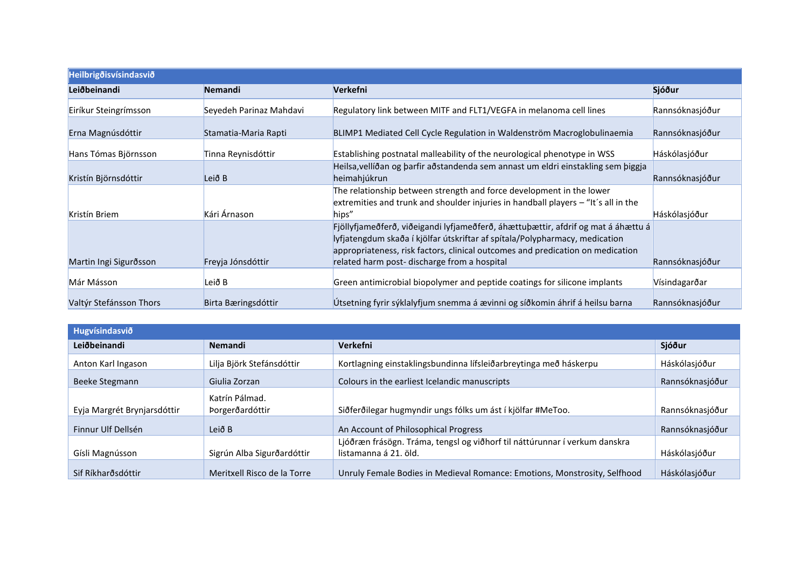| <b>Heilbrigoisvísindasvio</b> |                         |                                                                                                                                                                                                                                                    |                 |
|-------------------------------|-------------------------|----------------------------------------------------------------------------------------------------------------------------------------------------------------------------------------------------------------------------------------------------|-----------------|
| Leiðbeinandi                  | <b>Nemandi</b>          | Verkefni                                                                                                                                                                                                                                           | Sjóður          |
| Eiríkur Steingrímsson         | Seyedeh Parinaz Mahdavi | Regulatory link between MITF and FLT1/VEGFA in melanoma cell lines                                                                                                                                                                                 | Rannsóknasjóður |
| Erna Magnúsdóttir             | Stamatia-Maria Rapti    | BLIMP1 Mediated Cell Cycle Regulation in Waldenström Macroglobulinaemia                                                                                                                                                                            | Rannsóknasjóður |
| Hans Tómas Björnsson          | Tinna Reynisdóttir      | Establishing postnatal malleability of the neurological phenotype in WSS                                                                                                                                                                           | Háskólasjóður   |
| Kristín Björnsdóttir          | Leið B                  | Heilsa, vellíðan og þarfir aðstandenda sem annast um eldri einstakling sem þiggja<br>heimahjúkrun                                                                                                                                                  | Rannsóknasjóður |
| Kristín Briem                 | Kári Árnason            | The relationship between strength and force development in the lower<br>extremities and trunk and shoulder injuries in handball players - "It's all in the<br>hips"                                                                                | Háskólasjóður   |
|                               |                         | Fjöllyfjameðferð, viðeigandi lyfjameðferð, áhættuþættir, afdrif og mat á áhættu á<br>lyfjatengdum skaða í kjölfar útskriftar af spítala/Polypharmacy, medication<br>appropriateness, risk factors, clinical outcomes and predication on medication |                 |
| Martin Ingi Sigurðsson        | Freyja Jónsdóttir       | related harm post-discharge from a hospital                                                                                                                                                                                                        | Rannsóknasjóður |
| Már Másson                    | Leið B                  | Green antimicrobial biopolymer and peptide coatings for silicone implants                                                                                                                                                                          | Vísindagarðar   |
| Valtýr Stefánsson Thors       | Birta Bæringsdóttir     | Útsetning fyrir sýklalyfjum snemma á ævinni og síðkomin áhrif á heilsu barna                                                                                                                                                                       | Rannsóknasjóður |

| Hugvísindasvið              |                             |                                                                            |                 |  |
|-----------------------------|-----------------------------|----------------------------------------------------------------------------|-----------------|--|
| Leiðbeinandi                | <b>Nemandi</b>              | Verkefni                                                                   | Sjóður          |  |
| Anton Karl Ingason          | Lilja Björk Stefánsdóttir   | Kortlagning einstaklingsbundinna lífsleiðarbreytinga með háskerpu          | Háskólasjóður   |  |
| Beeke Stegmann              | Giulia Zorzan               | Colours in the earliest Icelandic manuscripts                              | Rannsóknasjóður |  |
|                             | Katrín Pálmad.              |                                                                            |                 |  |
| Eyja Margrét Brynjarsdóttir | Þorgerðardóttir             | Siðferðilegar hugmyndir ungs fólks um ást í kjölfar #MeToo.                | Rannsóknasjóður |  |
| Finnur Ulf Dellsén          | Leið B                      | An Account of Philosophical Progress                                       | Rannsóknasjóður |  |
|                             |                             | Ljóðræn frásögn. Tráma, tengsl og viðhorf til náttúrunnar í verkum danskra |                 |  |
| Gísli Magnússon             | Sigrún Alba Sigurðardóttir  | listamanna á 21. öld.                                                      | Háskólasjóður   |  |
| Sif Ríkharðsdóttir          | Meritxell Risco de la Torre | Unruly Female Bodies in Medieval Romance: Emotions, Monstrosity, Selfhood  | Háskólasjóður   |  |